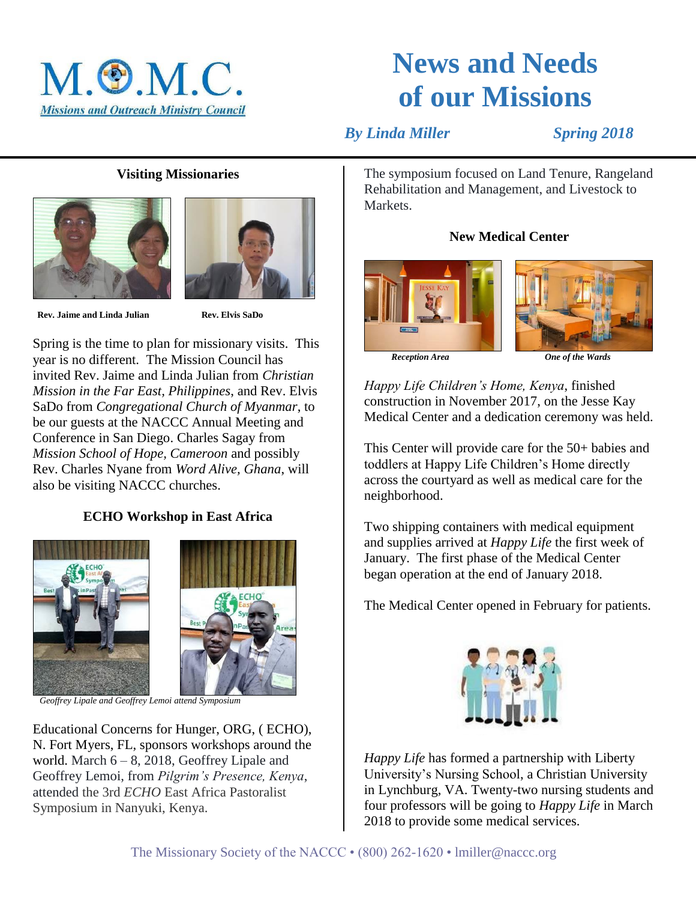

# **News and Needs of our Missions**

*By Linda Miller* Spring 2018

# **Visiting Missionaries**





 **Rev. Jaime and Linda Julian Rev. Elvis SaDo**

Spring is the time to plan for missionary visits. This year is no different. The Mission Council has invited Rev. Jaime and Linda Julian from *Christian Mission in the Far East, Philippines*, and Rev. Elvis SaDo from *Congregational Church of Myanmar*, to be our guests at the NACCC Annual Meeting and Conference in San Diego. Charles Sagay from *Mission School of Hope, Cameroon* and possibly Rev. Charles Nyane from *Word Alive, Ghana*, will also be visiting NACCC churches.

# **ECHO Workshop in East Africa**





 *Geoffrey Lipale and Geoffrey Lemoi attend Symposium*

Educational Concerns for Hunger, ORG, ( ECHO), N. Fort Myers, FL, sponsors workshops around the world. March  $6 - 8$ , 2018, Geoffrey Lipale and Geoffrey Lemoi, from *Pilgrim's Presence, Kenya*, attended the 3rd *ECHO* East Africa Pastoralist Symposium in Nanyuki, Kenya.

The symposium focused on Land Tenure, Rangeland Rehabilitation and Management, and Livestock to **Markets** 

#### **New Medical Center**



 *Reception Area One of the Wards*

*Happy Life Children's Home, Kenya*, finished construction in November 2017, on the Jesse Kay Medical Center and a dedication ceremony was held.

This Center will provide care for the 50+ babies and toddlers at Happy Life Children's Home directly across the courtyard as well as medical care for the neighborhood.

Two shipping containers with medical equipment and supplies arrived at *Happy Life* the first week of January. The first phase of the Medical Center began operation at the end of January 2018.

The Medical Center opened in February for patients.



*Happy Life* has formed a partnership with Liberty University's Nursing School, a Christian University in Lynchburg, VA. Twenty-two nursing students and four professors will be going to *Happy Life* in March 2018 to provide some medical services.